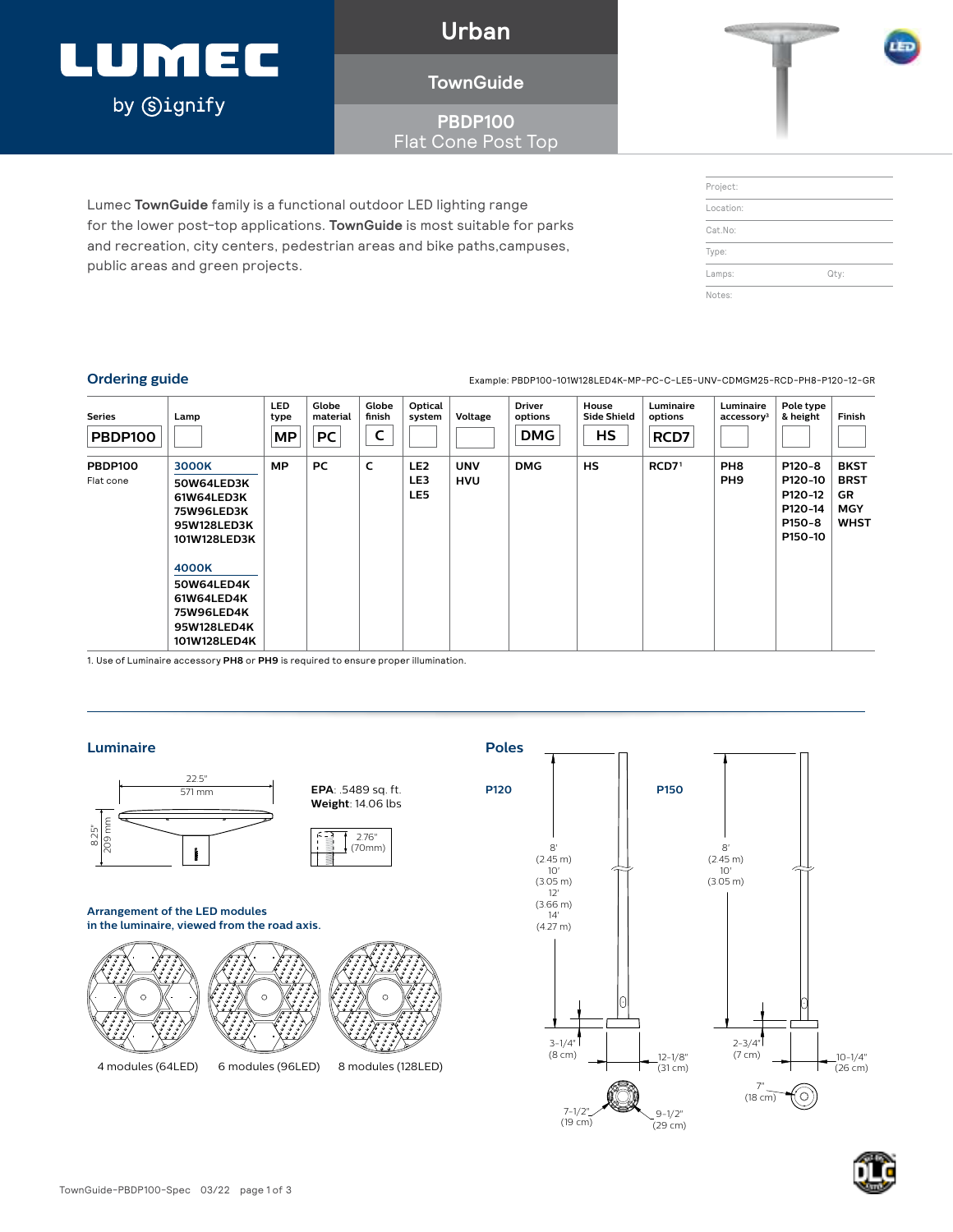## LUMEC by **Signify**

**Urban**

### **TownGuide**

**PBDP100** Flat Cone Post Top

Lumec **TownGuide** family is a functional outdoor LED lighting range for the lower post-top applications. **TownGuide** is most suitable for parks and recreation, city centers, pedestrian areas and bike paths,campuses, public areas and green projects.

| Project:  |      |  |
|-----------|------|--|
| Location: |      |  |
| Cat.No:   |      |  |
| Type:     |      |  |
| Lamps:    | Qty: |  |
| Notes:    |      |  |

**Ordering guide** Example: PBDP100-101W128LED4K-MP-PC-C-LE5-UNV-CDMGM25-RCD-PH8-P120-12-GR

| <b>Series</b><br><b>PBDP100</b> | Lamp                                                                                                                                                                           | <b>LED</b><br>type<br>MP | Globe<br>material<br><b>PC</b> | Globe<br>finish<br>∼ | Optical<br>system             | Voltage                  | <b>Driver</b><br>options<br><b>DMG</b> | House<br><b>Side Shield</b><br>HS | Luminaire<br>options<br>RCD7 | Luminaire<br>accessory <sup>3</sup> | Pole type<br>& height                                        | Finish                                                               |
|---------------------------------|--------------------------------------------------------------------------------------------------------------------------------------------------------------------------------|--------------------------|--------------------------------|----------------------|-------------------------------|--------------------------|----------------------------------------|-----------------------------------|------------------------------|-------------------------------------|--------------------------------------------------------------|----------------------------------------------------------------------|
| <b>PBDP100</b><br>Flat cone     | 3000K<br>50W64LED3K<br>61W64LED3K<br><b>75W96LED3K</b><br>95W128LED3K<br>101W128LED3K<br>4000K<br>50W64LED4K<br>61W64LED4K<br><b>75W96LED4K</b><br>95W128LED4K<br>101W128LED4K | <b>MP</b>                | <b>PC</b>                      | c                    | LE <sub>2</sub><br>LE3<br>LE5 | <b>UNV</b><br><b>HVU</b> | <b>DMG</b>                             | <b>HS</b>                         | RCD7 <sup>1</sup>            | PH <sub>8</sub><br>PH <sub>9</sub>  | P120-8<br>P120-10<br>P120-12<br>P120-14<br>P150-8<br>P150-10 | <b>BKST</b><br><b>BRST</b><br><b>GR</b><br><b>MGY</b><br><b>WHST</b> |

1. Use of Luminaire accessory **PH8** or **PH9** is required to ensure proper illumination.

### **Luminaire Poles**







### **in the luminaire, viewed from the road axis.**







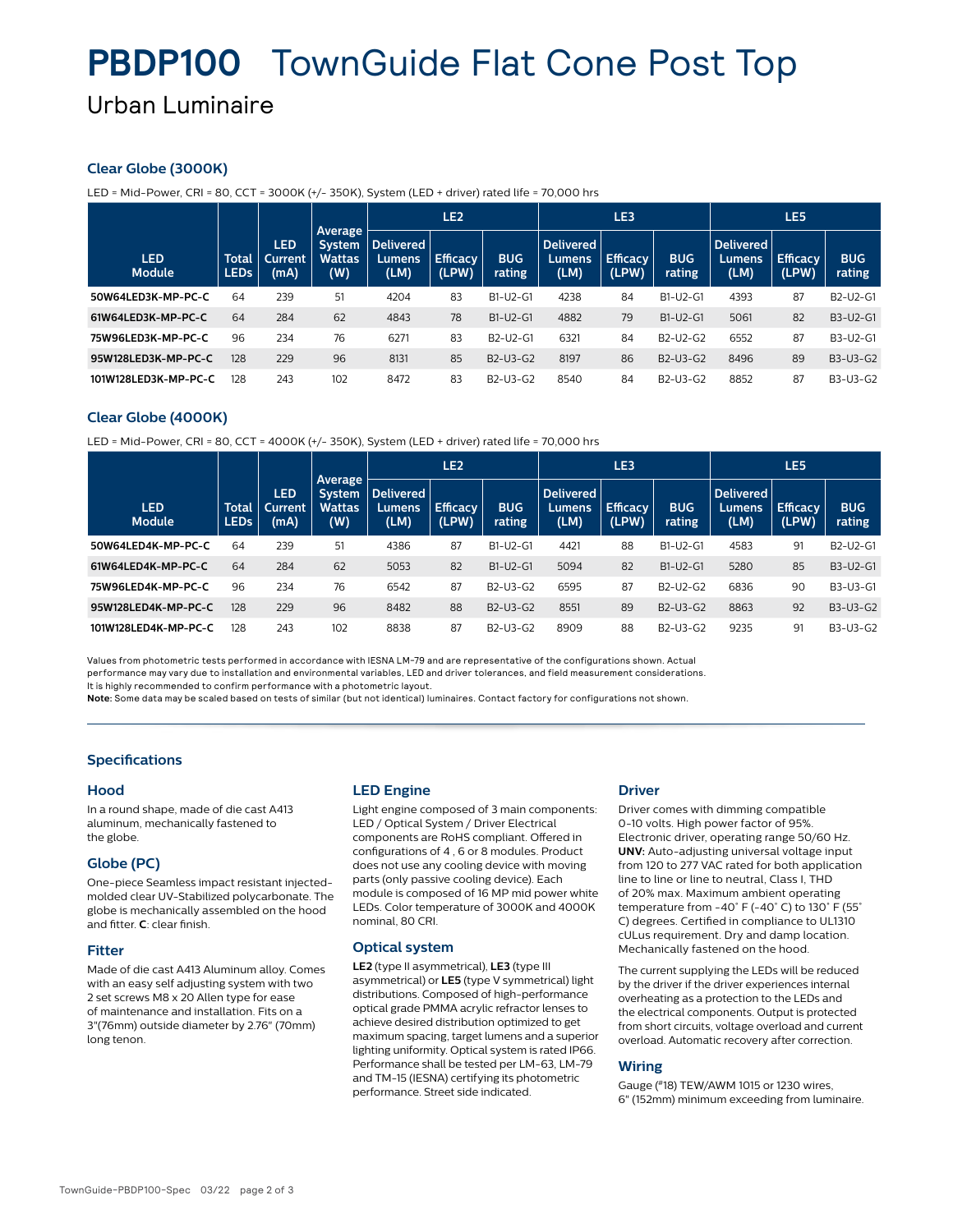## **PBDP100** TownGuide Flat Cone Post Top

### Urban Luminaire

### **Clear Globe (3000K)**

LED = Mid-Power, CRI = 80, CCT = 3000K (+/- 350K), System (LED + driver) rated life = 70,000 hrs

|                             |                      |                        |                                                         | LE <sub>2</sub>                    |                          |                                                | LE3                                |                          |                                                | LE5                         |                          |                      |
|-----------------------------|----------------------|------------------------|---------------------------------------------------------|------------------------------------|--------------------------|------------------------------------------------|------------------------------------|--------------------------|------------------------------------------------|-----------------------------|--------------------------|----------------------|
| <b>LED</b><br><b>Module</b> | Total<br><b>LEDs</b> | LED<br>Current<br>(mA) | <b>Average</b><br><b>System</b><br><b>Wattas</b><br>(W) | <b>Delivered</b><br>Lumens<br>(LM) | <b>Efficacy</b><br>(LPW) | <b>BUG</b><br>rating                           | <b>Delivered</b><br>Lumens<br>(LM) | <b>Efficacy</b><br>(LPW) | <b>BUG</b><br>rating                           | Delivered<br>Lumens<br>(LM) | <b>Efficacy</b><br>(LPW) | <b>BUG</b><br>rating |
| 50W64LED3K-MP-PC-C          | 64                   | 239                    | 51                                                      | 4204                               | 83                       | B1-U2-G1                                       | 4238                               | 84                       | B1-U2-G1                                       | 4393                        | 87                       | B2-U2-G1             |
| 61W64LED3K-MP-PC-C          | 64                   | 284                    | 62                                                      | 4843                               | 78                       | B1-U2-G1                                       | 4882                               | 79                       | B1-U2-G1                                       | 5061                        | 82                       | B3-U2-G1             |
| 75W96LED3K-MP-PC-C          | 96                   | 234                    | 76                                                      | 6271                               | 83                       | B <sub>2</sub> -U <sub>2</sub> -G <sub>1</sub> | 6321                               | 84                       | B <sub>2</sub> -U <sub>2</sub> -G <sub>2</sub> | 6552                        | 87                       | B3-U2-G1             |
| 95W128LED3K-MP-PC-C         | 128                  | 229                    | 96                                                      | 8131                               | 85                       | $B2-U3-G2$                                     | 8197                               | 86                       | $B2-U3-G2$                                     | 8496                        | 89                       | B3-U3-G2             |
| 101W128LED3K-MP-PC-C        | 128                  | 243                    | 102                                                     | 8472                               | 83                       | B <sub>2</sub> -U <sub>3</sub> -G <sub>2</sub> | 8540                               | 84                       | B <sub>2</sub> -U <sub>3</sub> -G <sub>2</sub> | 8852                        | 87                       | B3-U3-G2             |

### **Clear Globe (4000K)**

LED = Mid-Power, CRI = 80, CCT = 4000K (+/- 350K), System (LED + driver) rated life = 70,000 hrs

|                             |                      |                        |                                                         | LE <sub>2</sub>                     |                          |                                                | LE3                         |                          |                                                | LE5                          |                          |                                                |
|-----------------------------|----------------------|------------------------|---------------------------------------------------------|-------------------------------------|--------------------------|------------------------------------------------|-----------------------------|--------------------------|------------------------------------------------|------------------------------|--------------------------|------------------------------------------------|
| <b>LED</b><br><b>Module</b> | Total<br><b>LEDs</b> | LED<br>Current<br>(mA) | <b>Average</b><br><b>System</b><br><b>Wattas</b><br>(W) | <b>Delivered</b><br>Lumens.<br>(LM) | <b>Efficacy</b><br>(LPW) | <b>BUG</b><br>rating                           | Delivered<br>Lumens<br>(LM) | <b>Efficacy</b><br>(LPW) | <b>BUG</b><br>rating                           | Delivered<br>Lumens.<br>(LM) | <b>Efficacy</b><br>(LPW) | <b>BUG</b><br>rating                           |
| 50W64LFD4K-MP-PC-C          | 64                   | 239                    | 51                                                      | 4386                                | 87                       | B1-U2-G1                                       | 4421                        | 88                       | B1-U2-G1                                       | 4583                         | 91                       | B <sub>2</sub> -U <sub>2</sub> -G <sub>1</sub> |
| 61W64LED4K-MP-PC-C          | 64                   | 284                    | 62                                                      | 5053                                | 82                       | B1-U2-G1                                       | 5094                        | 82                       | B1-U2-G1                                       | 5280                         | 85                       | B3-U2-G1                                       |
| 75W96LED4K-MP-PC-C          | 96                   | 234                    | 76                                                      | 6542                                | 87                       | B <sub>2</sub> -U <sub>3</sub> -G <sub>2</sub> | 6595                        | 87                       | B <sub>2</sub> -U <sub>2</sub> -G <sub>2</sub> | 6836                         | 90                       | B3-U3-G1                                       |
| 95W128LED4K-MP-PC-C         | 128                  | 229                    | 96                                                      | 8482                                | 88                       | B <sub>2</sub> -U <sub>3</sub> -G <sub>2</sub> | 8551                        | 89                       | B2-U3-G2                                       | 8863                         | 92                       | B3-U3-G2                                       |
| 101W128LED4K-MP-PC-C        | 128                  | 243                    | 102                                                     | 8838                                | 87                       | B <sub>2</sub> -U <sub>3</sub> -G <sub>2</sub> | 8909                        | 88                       | B2-U3-G2                                       | 9235                         | 91                       | B3-U3-G2                                       |

Values from photometric tests performed in accordance with IESNA LM-79 and are representative of the configurations shown. Actual performance may vary due to installation and environmental variables, LED and driver tolerances, and field measurement considerations. It is highly recommended to confirm performance with a photometric layout.

**Note:** Some data may be scaled based on tests of similar (but not identical) luminaires. Contact factory for configurations not shown.

### **Specifications**

#### **Hood**

In a round shape, made of die cast A413 aluminum, mechanically fastened to the globe.

### **Globe (PC)**

One-piece Seamless impact resistant injectedmolded clear UV-Stabilized polycarbonate. The globe is mechanically assembled on the hood and fitter. **C**: clear finish.

### **Fitter**

Made of die cast A413 Aluminum alloy. Comes with an easy self adjusting system with two 2 set screws M8 x 20 Allen type for ease of maintenance and installation. Fits on a 3"(76mm) outside diameter by 2.76" (70mm) long tenon.

### **LED Engine**

Light engine composed of 3 main components: LED / Optical System / Driver Electrical components are RoHS compliant. Offered in configurations of 4 , 6 or 8 modules. Product does not use any cooling device with moving parts (only passive cooling device). Each module is composed of 16 MP mid power white LEDs. Color temperature of 3000K and 4000K nominal, 80 CRI.

### **Optical system**

**LE2** (type II asymmetrical), **LE3** (type III asymmetrical) or **LE5** (type V symmetrical) light distributions. Composed of high-performance optical grade PMMA acrylic refractor lenses to achieve desired distribution optimized to get maximum spacing, target lumens and a superior lighting uniformity. Optical system is rated IP66. Performance shall be tested per LM-63, LM-79 and TM-15 (IESNA) certifying its photometric performance. Street side indicated.

#### **Driver**

Driver comes with dimming compatible 0-10 volts. High power factor of 95%. Electronic driver, operating range 50/60 Hz. **UNV:** Auto-adjusting universal voltage input from 120 to 277 VAC rated for both application line to line or line to neutral, Class I, THD of 20% max. Maximum ambient operating temperature from -40° F (-40° C) to 130° F (55° C) degrees. Certified in compliance to UL1310 cULus requirement. Dry and damp location. Mechanically fastened on the hood.

The current supplying the LEDs will be reduced by the driver if the driver experiences internal overheating as a protection to the LEDs and the electrical components. Output is protected from short circuits, voltage overload and current overload. Automatic recovery after correction.

### **Wiring**

Gauge (#18) TEW/AWM 1015 or 1230 wires, 6" (152mm) minimum exceeding from luminaire.